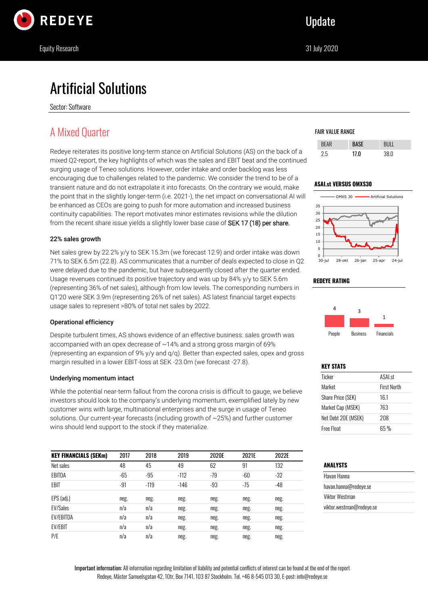

# Artificial Solutions

Sector: Software

# A Mixed Quarter

Redeye reiterates its positive long-term stance on Artificial Solutions (AS) on the back of a mixed Q2-report, the key highlights of which was the sales and EBIT beat and the continued surging usage of Teneo solutions. However, order intake and order backlog was less encouraging due to challenges related to the pandemic. We consider the trend to be of a transient nature and do not extrapolate it into forecasts. On the contrary we would, make the point that in the slightly longer-term (i.e. 2021-), the net impact on conversational AI will be enhanced as CEOs are going to push for more automation and increased business continuity capabilities. The report motivates minor estimates revisions while the dilution from the recent share issue yields a slightly lower base case of SEK 17 (18) per share.

### 22% sales growth

Net sales grew by 22.2% y/y to SEK 15.3m (we forecast 12.9) and order intake was down 71% to SEK 6.5m (22.8). AS communicates that a number of deals expected to close in Q2 were delayed due to the pandemic, but have subsequently closed after the quarter ended. Usage revenues continued its positive trajectory and was up by 84% y/y to SEK 5.6m (representing 36% of net sales), although from low levels. The corresponding numbers in Q1'20 were SEK 3.9m (representing 26% of net sales). AS latest financial target expects usage sales to represent >80% of total net sales by 2022.

### Operational efficiency

Despite turbulent times, AS shows evidence of an effective business: sales growth was accompanied with an opex decrease of ~14% and a strong gross margin of 69% (representing an expansion of 9% y/y and q/q). Better than expected sales, opex and gross margin resulted in a lower EBIT-loss at SEK -23.0m (we forecast -27.8).

### Underlying momentum intact

While the potential near-term fallout from the corona crisis is difficult to gauge, we believe investors should look to the company's underlying momentum, exemplified lately by new customer wins with large, multinational enterprises and the surge in usage of Teneo solutions. Our current-year forecasts (including growth of ~25%) and further customer wins should lend support to the stock if they materialize.

| <b>KEY FINANCIALS (SEKm)</b> | 2017  | 2018   | 2019   | 2020E | 2021E | 2022E |
|------------------------------|-------|--------|--------|-------|-------|-------|
| Net sales                    | 48    | 45     | 49     | 62    | 91    | 132   |
| EBITDA                       | $-65$ | $-95$  | $-112$ | $-79$ | -60   | $-32$ |
| EBIT                         | $-91$ | $-119$ | $-146$ | $-93$ | $-75$ | $-48$ |
| EPS (adj.)                   | neg.  | neg.   | neg.   | neg.  | neg.  | neg.  |
| <b>EV/Sales</b>              | n/a   | n/a    | neg.   | neg.  | neg.  | neg.  |
| <b>EV/EBITDA</b>             | n/a   | n/a    | neg.   | neg.  | neg.  | neg.  |
| <b>EV/EBIT</b>               | n/a   | n/a    | neg.   | neg.  | neg.  | neg.  |
| P/E                          | n/a   | n/a    | neg.   | neg.  | neg.  | neg.  |

### FAIR VALUE RANGE

|    | 17 F |      |
|----|------|------|
| 2h | 17.0 | 38.0 |

### **ASAI.st VERSUS OMXS30**



### **REDEYE RATING**



### **KEY STATS**

| <b>ASALst</b>      |
|--------------------|
| <b>First North</b> |
| 16.1               |
| 763                |
| 208                |
|                    |
|                    |

### **ANALYSTS**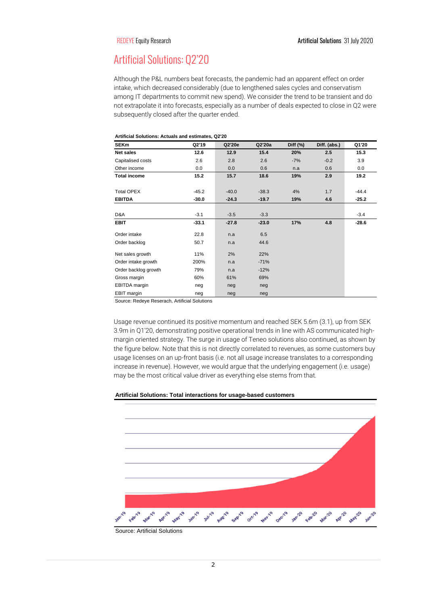# Artificial Solutions: Q2'20

Although the P&L numbers beat forecasts, the pandemic had an apparent effect on order intake, which decreased considerably (due to lengthened sales cycles and conservatism among IT departments to commit new spend). We consider the trend to be transient and do not extrapolate it into forecasts, especially as a number of deals expected to close in Q2 were subsequently closed after the quarter ended.

| <b>SEKm</b>          | Q2'19   | Q2'20e  | Q2'20a  | Diff $(%)$ | Diff. (abs.) | Q1'20   |
|----------------------|---------|---------|---------|------------|--------------|---------|
| Net sales            | 12.6    | 12.9    | 15.4    | 20%        | 2.5          | 15.3    |
| Capitalised costs    | 2.6     | 2.8     | 2.6     | $-7%$      | $-0.2$       | 3.9     |
| Other income         | 0.0     | 0.0     | 0.6     | n.a        | 0.6          | 0.0     |
| <b>Total income</b>  | 15.2    | 15.7    | 18.6    | 19%        | 2.9          | 19.2    |
| <b>Total OPEX</b>    | $-45.2$ | $-40.0$ | $-38.3$ | 4%         | 1.7          | $-44.4$ |
| <b>EBITDA</b>        | $-30.0$ | $-24.3$ | $-19.7$ | 19%        | 4.6          | $-25.2$ |
| D&A                  | $-3.1$  | $-3.5$  | $-3.3$  |            |              | $-3.4$  |
| <b>EBIT</b>          | $-33.1$ | $-27.8$ | $-23.0$ | 17%        | 4.8          | $-28.6$ |
| Order intake         | 22.8    | n.a     | 6.5     |            |              |         |
| Order backlog        | 50.7    | n.a     | 44.6    |            |              |         |
| Net sales growth     | 11%     | 2%      | 22%     |            |              |         |
| Order intake growth  | 200%    | n.a     | $-71%$  |            |              |         |
| Order backlog growth | 79%     | n.a     | $-12%$  |            |              |         |
| Gross margin         | 60%     | 61%     | 69%     |            |              |         |
| EBITDA margin        | neg     | neg     | neg     |            |              |         |
| EBIT margin          | neg     | neg     | neg     |            |              |         |

#### **Artificial Solutions: Actuals and estimates, Q2'20**

Source: Redeye Reserach, Artificial Solutions

Usage revenue continued its positive momentum and reached SEK 5.6m (3.1), up from SEK 3.9m in Q1'20, demonstrating positive operational trends in line with AS communicated highmargin oriented strategy. The surge in usage of Teneo solutions also continued, as shown by the figure below. Note that this is not directly correlated to revenues, as some customers buy usage licenses on an up-front basis (i.e. not all usage increase translates to a corresponding increase in revenue). However, we would argue that the underlying engagement (i.e. usage) may be the most critical value driver as everything else stems from that.

#### **Artificial Solutions: Total interactions for usage-based customers**



Source: Artificial Solutions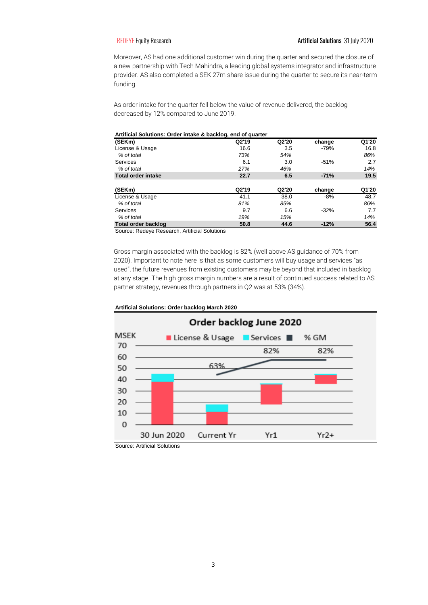Moreover, AS had one additional customer win during the quarter and secured the closure of a new partnership with Tech Mahindra, a leading global systems integrator and infrastructure provider. AS also completed a SEK 27m share issue during the quarter to secure its near-term funding.

As order intake for the quarter fell below the value of revenue delivered, the backlog decreased by 12% compared to June 2019.

#### **Artificial Solutions: Order intake & backlog, end of quarter**

| (SEKm)                     | Q2'19 | Q2'20 | change | Q1'20 |
|----------------------------|-------|-------|--------|-------|
| License & Usage            | 16.6  | 3.5   | $-79%$ | 16.8  |
| % of total                 | 73%   | 54%   |        | 86%   |
| <b>Services</b>            | 6.1   | 3.0   | $-51%$ | 2.7   |
| % of total                 | 27%   | 46%   |        | 14%   |
| <b>Total order intake</b>  | 22.7  | 6.5   | $-71%$ | 19.5  |
| (SEKm)                     | Q2'19 | Q2'20 | change | Q1'20 |
| License & Usage            | 41.1  | 38.0  | $-8%$  | 48.7  |
| % of total                 | 81%   | 85%   |        | 86%   |
| <b>Services</b>            | 9.7   | 6.6   | $-32%$ | 7.7   |
| % of total                 | 19%   | 15%   |        | 14%   |
| <b>Total order backlog</b> | 50.8  | 44.6  | $-12%$ | 56.4  |

Source: Redeye Research, Artificial Solutions

Gross margin associated with the backlog is 82% (well above AS guidance of 70% from 2020). Important to note here is that as some customers will buy usage and services "as used", the future revenues from existing customers may be beyond that included in backlog at any stage. The high gross margin numbers are a result of continued success related to AS partner strategy, revenues through partners in Q2 was at 53% (34%).



#### **Artificial Solutions: Order backlog March 2020**

Source: Artificial Solutions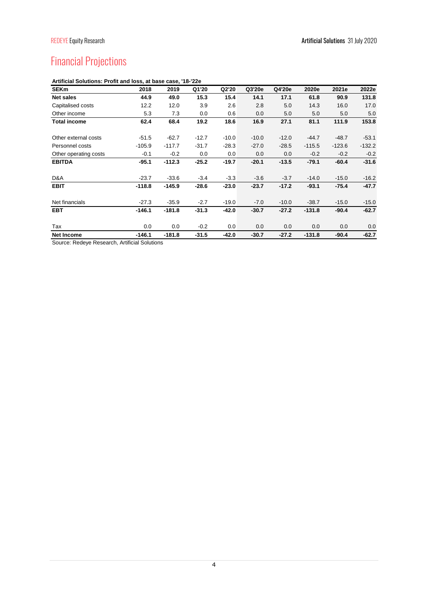# Financial Projections

| <b>SEKm</b>           | 2018     | 2019     | Q1'20   | Q2'20   | Q3'20e  | Q4'20e  | 2020e    | 2021e    | 2022e    |
|-----------------------|----------|----------|---------|---------|---------|---------|----------|----------|----------|
| <b>Net sales</b>      | 44.9     | 49.0     | 15.3    | 15.4    | 14.1    | 17.1    | 61.8     | 90.9     | 131.8    |
| Capitalised costs     | 12.2     | 12.0     | 3.9     | 2.6     | 2.8     | 5.0     | 14.3     | 16.0     | 17.0     |
| Other income          | 5.3      | 7.3      | 0.0     | 0.6     | 0.0     | 5.0     | 5.0      | 5.0      | 5.0      |
| <b>Total income</b>   | 62.4     | 68.4     | 19.2    | 18.6    | 16.9    | 27.1    | 81.1     | 111.9    | 153.8    |
| Other external costs  | $-51.5$  | $-62.7$  | $-12.7$ | $-10.0$ | $-10.0$ | $-12.0$ | $-44.7$  | $-48.7$  | $-53.1$  |
| Personnel costs       | $-105.9$ | $-117.7$ | $-31.7$ | $-28.3$ | $-27.0$ | $-28.5$ | $-115.5$ | $-123.6$ | $-132.2$ |
| Other operating costs | $-0.1$   | $-0.2$   | 0.0     | 0.0     | 0.0     | 0.0     | $-0.2$   | $-0.2$   | $-0.2$   |
| <b>EBITDA</b>         | $-95.1$  | $-112.3$ | $-25.2$ | $-19.7$ | $-20.1$ | $-13.5$ | $-79.1$  | $-60.4$  | $-31.6$  |
| D&A                   | $-23.7$  | $-33.6$  | $-3.4$  | $-3.3$  | $-3.6$  | $-3.7$  | $-14.0$  | $-15.0$  | $-16.2$  |
| <b>EBIT</b>           | $-118.8$ | $-145.9$ | $-28.6$ | $-23.0$ | $-23.7$ | $-17.2$ | $-93.1$  | $-75.4$  | $-47.7$  |
| Net financials        | $-27.3$  | $-35.9$  | $-2.7$  | $-19.0$ | $-7.0$  | $-10.0$ | $-38.7$  | $-15.0$  | $-15.0$  |
| <b>EBT</b>            | $-146.1$ | $-181.8$ | $-31.3$ | $-42.0$ | $-30.7$ | $-27.2$ | $-131.8$ | $-90.4$  | $-62.7$  |
| Tax                   | 0.0      | 0.0      | $-0.2$  | 0.0     | 0.0     | 0.0     | 0.0      | 0.0      | 0.0      |
| <b>Net Income</b>     | $-146.1$ | $-181.8$ | $-31.5$ | $-42.0$ | $-30.7$ | $-27.2$ | $-131.8$ | $-90.4$  | $-62.7$  |

### **Artificial Solutions: Profit and loss, at base case, '18-'22e**

Source: Redeye Research, Artificial Solutions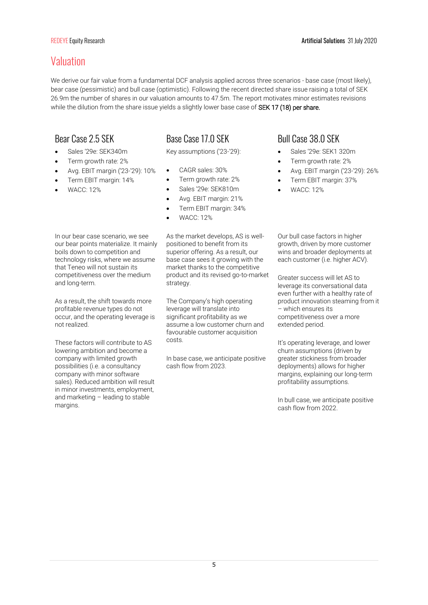# Valuation

We derive our fair value from a fundamental DCF analysis applied across three scenarios - base case (most likely), bear case (pessimistic) and bull case (optimistic). Following the recent directed share issue raising a total of SEK 26.9m the number of shares in our valuation amounts to 47.5m. The report motivates minor estimates revisions while the dilution from the share issue yields a slightly lower base case of SEK 17 (18) per share.

# Bear Case 2.5 SEK

- Sales '29e: SEK340m
- Term growth rate: 2%
- Avg. EBIT margin ('23-'29): 10%
- Term EBIT margin: 14%
- WACC: 12%

# Base Case 17.0 SEK

Key assumptions ('23-'29):

- CAGR sales: 30%
- Term growth rate: 2%
- Sales '29e: SEK810m
- Avg. EBIT margin: 21%
- Term EBIT margin: 34%
- WACC: 12%

In our bear case scenario, we see our bear points materialize. It mainly boils down to competition and technology risks, where we assume that Teneo will not sustain its competitiveness over the medium and long-term.

As a result, the shift towards more profitable revenue types do not occur, and the operating leverage is not realized.

These factors will contribute to AS lowering ambition and become a company with limited growth possibilities (i.e. a consultancy company with minor software sales). Reduced ambition will result in minor investments, employment, and marketing – leading to stable margins.

As the market develops, AS is wellpositioned to benefit from its superior offering. As a result, our base case sees it growing with the market thanks to the competitive product and its revised go-to-market strategy.

The Company's high operating leverage will translate into significant profitability as we assume a low customer churn and favourable customer acquisition costs.

In base case, we anticipate positive cash flow from 2023.

# Bull Case 38.0 SEK

- Sales '29e: SEK1 320m
- Term growth rate: 2%
- Avg. EBIT margin ('23-'29): 26%
- Term EBIT margin: 37%
- WACC: 12%

Our bull case factors in higher growth, driven by more customer wins and broader deployments at each customer (i.e. higher ACV).

Greater success will let AS to leverage its conversational data even further with a healthy rate of product innovation steaming from it – which ensures its competitiveness over a more extended period.

It's operating leverage, and lower churn assumptions (driven by greater stickiness from broader deployments) allows for higher margins, explaining our long-term profitability assumptions.

In bull case, we anticipate positive cash flow from 2022.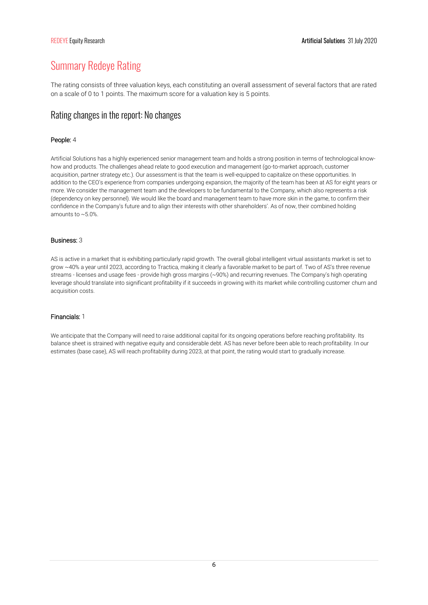# Summary Redeye Rating

The rating consists of three valuation keys, each constituting an overall assessment of several factors that are rated on a scale of 0 to 1 points. The maximum score for a valuation key is 5 points.

## Rating changes in the report: No changes

### People: 4

Artificial Solutions has a highly experienced senior management team and holds a strong position in terms of technological knowhow and products. The challenges ahead relate to good execution and management (go-to-market approach, customer acquisition, partner strategy etc.). Our assessment is that the team is well-equipped to capitalize on these opportunities. In addition to the CEO's experience from companies undergoing expansion, the majority of the team has been at AS for eight years or more. We consider the management team and the developers to be fundamental to the Company, which also represents a risk (dependency on key personnel). We would like the board and management team to have more skin in the game, to confirm their confidence in the Company's future and to align their interests with other shareholders'. As of now, their combined holding amounts to ~5.0%.

### Business: 3

AS is active in a market that is exhibiting particularly rapid growth. The overall global intelligent virtual assistants market is set to grow ~40% a year until 2023, according to Tractica, making it clearly a favorable market to be part of. Two of AS's three revenue streams - licenses and usage fees - provide high gross margins (~90%) and recurring revenues. The Company's high operating leverage should translate into significant profitability if it succeeds in growing with its market while controlling customer churn and acquisition costs.

### Financials: 1

We anticipate that the Company will need to raise additional capital for its ongoing operations before reaching profitability. Its balance sheet is strained with negative equity and considerable debt. AS has never before been able to reach profitability. In our estimates (base case), AS will reach profitability during 2023, at that point, the rating would start to gradually increase.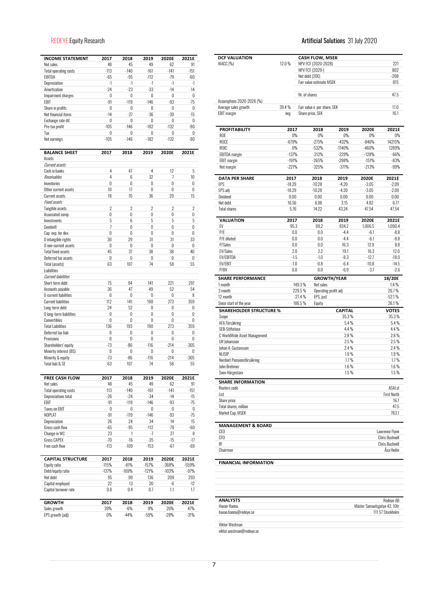| <b>INCOME STATEMENT</b>      | 2017           | 2018          | 2019           | 2020E          | 2021E            |
|------------------------------|----------------|---------------|----------------|----------------|------------------|
| Net sales                    | 48             | 45            | 49             | 62             | 91               |
| <b>Total operating costs</b> | $-113$         | $-140$        | $-161$         | $-141$         | $-151$<br>$-60$  |
| EBITDA                       | $-65$<br>$-1$  | $-95$<br>$-1$ | $-112$<br>$-1$ | $-79$<br>$-1$  | $-1$             |
| Depreciation<br>Amortization | $-24$          | -23           | $-33$          | $-14$          | $-14$            |
| Impairment charges           | 0              | 0             | 0              | 0              | 0                |
| EBIT                         | $-91$          | $-119$        | $-146$         | $-93$          | $-75$            |
| Share in profits             | 0              | 0             | 0              | 0              | 0                |
| Net financial items          | $-14$          | $-27$         | $-36$          | $-39$          | $-15$            |
| Exchange rate dif.           | 0              | 0             | 0              | 0              | 0                |
| Pre-tax profit               | $-105$         | $-146$        | $-182$         | $-132$         | $-90$            |
| Tax                          | 0              | 0             | 0              | 0              | 0                |
| Net earnings                 | $-105$         | $-146$        | $-182$         | $-132$         | $-90$            |
| <b>BALANCE SHEET</b>         | 2017           | 2018          | 2019           | 2020E          | 2021E            |
| Assets                       |                |               |                |                |                  |
| Current assets               |                |               |                |                |                  |
| Cash in banks                | 4              | 47            | 4              | 12             | 5                |
| Receivables                  | 4              | 6             | 32             | 7              | 10 <sup>10</sup> |
| Inventories                  | 0              | 0             | 0              | 0              | 0                |
| Other current assets         | 10             | 17            | 0              | 0              | 0                |
| <b>Current assets</b>        | 18             | 70            | 36             | 20             | 15               |
| <b>Fixed assets</b>          |                |               |                |                |                  |
| Tangible assets              | $\overline{2}$ | 2             | $\overline{2}$ | $\overline{2}$ | $\overline{2}$   |
| Associated comp.             | 0              | 0             | 0              | 0              | 0                |
| Investments                  | 5              | 6             | 5              | 5              | 5                |
| Goodwill                     | 7              | 0             | 0              | 0              | 0                |
| Cap. exp. for dev.           | 0              | 0             | 0              | 0              | 0                |
| O intangible rights          | 30             | 29            | 31             | 31             | 33               |
| O non-current assets         | 0              | 0             | 0              | 0              | 0                |
| Total fixed assets           | 45             | 37            | 38             | 38             | 40               |
| Deferred tax assets          | 0              | 0             | 0              | 0              | 0                |
| Total (assets)               | 63             | 107           | 74             | 58             | 55               |
| Liabilities                  |                |               |                |                |                  |
| <b>Current liabilities</b>   |                |               |                |                |                  |
| Short-term debt              | 75             | 94            | 141            | 221            | 297              |
| Accounts payable             | 36             | 47            | 49             | 52             | 54               |
| O current liabilities        | 0              | 0             | 0              | 0              | 8                |
| <b>Current liabilities</b>   | 112            | 141           | 190            | 273            | 359              |
| Long-term debt               | 24             | 52            | 0              | 0              | 0                |
| O long-term liabilities      | 0              | 0             | 0              | 0              | 0                |
| Convertibles                 | 0              | 0             | 0              | 0              | 0                |
| <b>Total Liabilities</b>     | 136            | 193           | 190            | 273            | 359              |
| Deferred tax liab            | 0              | 0             | 0              | 0              | 0                |
| <b>Provisions</b>            | 0              | 0             | 0              | 0              | 0                |
| Shareholders' equity         | $-73$          | $-86$         | $-116$         | $-214$         | $-305$           |
| Minority interest (BS)       | 0              | 0             | 0              | 0              | 0                |
| Minority & equity            | $-73$          | $-86$         | $-116$         | $-214$         | $-305$           |
| Total liab & SE              | 63             | 107           | 74             | 58             | 55               |
| <b>FREE CASH FLOW</b>        | 2017           | 2018          | 2019           | 2020E          | 2021E            |
| Net sales                    | 48             | 45            | 49             | 62             | 91               |
| <b>Total operating costs</b> | $-113$         | $-140$        | -161           | $-141$         | $-151$           |
| Depreciations total          | -26            | $-24$         | $-34$          | $-14$          | $-15$            |
| EBIT                         | -91            | $-119$        | -146           | $-93$          | $-75$            |
| <b>Taxes on EBIT</b>         | 0              | 0             | 0              | 0              | 0                |
| NOPLAT                       | -91            | $-119$        | $-146$         | $-93$          | -75              |
| Depreciation                 | 26             | 24            | 34             | 14             | 15               |
| Gross cash flow              | -65            | -95           | $-112$         | -79            | $-60$            |
| Change in WC                 | 23             | 1             | -7             | 27             | 8                |
| <b>Gross CAPEX</b>           | $-70$          | $-16$         | -35            | $-15$          | $-17$            |
| Free cash flow               | $-113$         | $-109$        | $-153$         | $-67$          | $-69$            |
| <b>CAPITAL STRUCTURE</b>     | 2017           | 2018          | 2019           | 2020E          | 2021E            |
| Equity ratio                 | $-115%$        | $-81%$        | $-157%$        | $-368%$        | -559%            |
| Debt/equity ratio            | $-137%$        | $-169%$       | $-121%$        | $-103%$        | -97%             |
| Net debt                     | 95             | 99            | 136            | 209            | 293              |
| Capital employed             | 22             | 13            | 20             | -6             | $-12$            |
| Capital turnover rate        | $0.8\,$        | $0.4\,$       | 0.7            | 1.1            | 1.7              |
| <b>GROWTH</b>                | 2017           | 2018          | 2019           | 2020E          | 2021E            |
| Sales growth                 | 39%            | -6%           | 9%             | 26%            | 47%              |
| EPS growth (adj)             | 0%             | $-44%$        | -59%           | $-28%$         | $-31%$           |

## REDEYE Equity Research **Artificial Solutions** 31 July 2020

| <b>DCF VALUATION</b><br>WACC (%)                  | 12.0%             | <b>CASH FLOW, MSEK</b><br>NPV FCF (2020-2028)<br>NPV FCF (2029-) |                      |                    | 221<br>802                                |
|---------------------------------------------------|-------------------|------------------------------------------------------------------|----------------------|--------------------|-------------------------------------------|
|                                                   |                   | Net debt (20E)                                                   |                      |                    | $-208$                                    |
|                                                   |                   | Fair value estimate MSEK                                         |                      |                    | 815                                       |
|                                                   |                   | Nr. of shares                                                    |                      |                    | 47.5                                      |
| Assumptions 2020-2026 (%)<br>Average sales growth | 39.4%             | Fair value e. per share, SEK                                     |                      |                    | 17.0                                      |
| <b>EBIT</b> margin                                | neg               | Share price, SEK                                                 |                      |                    | 16.1                                      |
|                                                   |                   |                                                                  |                      |                    |                                           |
| <b>PROFITABILITY</b><br><b>ROE</b>                | 2017<br>$0\%$     | 2018                                                             | 2019<br>0%<br>0%     | 2020E<br>$0\%$     | 2021E<br>0%                               |
| <b>ROCE</b>                                       | $-679%$           | $-275%$                                                          | $-432%$              | $-846%$            | 14215%                                    |
| ROIC                                              | $0\%$             | $-532%$                                                          | $-1140%$             | $-460%$            | 1289%                                     |
| <b>EBITDA</b> margin                              | $-137%$           | $-212%$                                                          | $-229%$              | $-128%$            | $-66%$                                    |
| <b>EBIT</b> margin                                | $-191%$           | $-265%$                                                          | $-298%$              | $-151%$            | $-83%$                                    |
| Net margin                                        | $-221%$           | $-325%$                                                          | $-371%$              | $-213%$            | $-99%$                                    |
| <b>DATA PER SHARE</b>                             | 2017              | 2018                                                             | 2019                 | 2020E              | 2021E                                     |
| EPS                                               | $-18.29$          | $-10.28$                                                         | $-4.20$              | $-3.05$            | $-2.09$                                   |
| EPS adj<br>Dividend                               | $-18.29$          | $-10.28$<br>0.00                                                 | $-4.20$<br>0.00      | $-3.05$<br>0.00    | $-2.09$<br>0.00                           |
| Net debt                                          | $0.00\,$<br>16.56 | 6.98                                                             | 3.15                 | 4.82               | 6.77                                      |
| Total shares                                      | 5.76              | 14.22                                                            | 43.24                | 47.54              | 47.54                                     |
| <b>VALUATION</b>                                  | 2017              | 2018                                                             | 2019                 | 2020E              | 2021E                                     |
| FV                                                | 95.3              | 99.2                                                             | 934.2                | 1,006.5            | 1.090.4                                   |
| P/E                                               | 0.0               |                                                                  | 0.0<br>$-4.4$        | $-6.1$             | -8.8                                      |
| P/E diluted                                       | 0.0               |                                                                  | 0.0<br>$-4.4$        | $-6.1$             | $-8.8$                                    |
| P/Sales                                           | 0.0               |                                                                  | 0.0<br>16.3          | 12.9               | 8.8                                       |
| <b>EV/Sales</b>                                   | 2.0               |                                                                  | 2.2<br>19.1          | 16.3               | 12.0                                      |
| EV/EBITDA<br>EV/EBIT                              | $-1.5$<br>$-1.0$  | $-1.0$<br>$-0.8$                                                 | $-8.3$<br>$-6.4$     | $-12.7$<br>$-10.8$ | $-18.0$<br>$-14.5$                        |
| P/BV                                              | 0.0               |                                                                  | 0.0<br>$-6.9$        | $-3.7$             | $-2.6$                                    |
| <b>SHARE PERFORMANCE</b>                          |                   |                                                                  | <b>GROWTH/YEAR</b>   |                    | 18/20E                                    |
| 1 month                                           |                   | 149.3%                                                           | Net sales            |                    | $1.4\%$                                   |
| 3 month                                           |                   | 229.5%                                                           | Operating profit adj |                    | 26.7%                                     |
| 12 month                                          |                   | $-27.4%$                                                         | EPS, just            |                    | $-52.1%$                                  |
| Since start of the year                           |                   | 186.5%<br>Equity                                                 |                      |                    | 26.1%                                     |
| <b>SHAREHOLDER STRUCTURE %</b>                    |                   |                                                                  | <b>CAPITAL</b>       |                    | <b>VOTES</b>                              |
| Scope<br>AFA Försäkring                           |                   |                                                                  | 35.3%                | 5.4%               | 35.3%<br>5.4%                             |
| SEB-Stiftelsen                                    |                   |                                                                  |                      | 4.4%               | 4.4 %                                     |
| C WorldWide Asset Management                      |                   |                                                                  |                      | $2.8\%$            | $2.8\%$                                   |
| Ulf Johansson                                     |                   |                                                                  |                      | 2.5%               | 2.5%                                      |
| Johan A. Gustavsson                               |                   |                                                                  |                      | $2.4\%$            | 2.4%                                      |
| <b>NLISIP</b>                                     |                   |                                                                  |                      | 1.9%               | 1.9%                                      |
| Nordnet Pensionsförsäkring<br>John Brehmer        |                   |                                                                  |                      | 1.7%<br>$1.6\%$    | 1.7%                                      |
| Sven Härgestam                                    |                   |                                                                  |                      | 1.5%               | 1.6%<br>1.5%                              |
| <b>SHARE INFORMATION</b>                          |                   |                                                                  |                      |                    |                                           |
| Reuters code                                      |                   |                                                                  |                      |                    | ASAI.st                                   |
| List                                              |                   |                                                                  |                      |                    | First North                               |
| Share price                                       |                   |                                                                  |                      |                    | 16.1                                      |
| Total shares, million<br>Market Cap, MSEK         |                   |                                                                  |                      |                    | 47.5<br>763.1                             |
| <b>MANAGEMENT &amp; BOARD</b>                     |                   |                                                                  |                      |                    |                                           |
| CEO                                               |                   |                                                                  |                      |                    | Lawrence Flynn                            |
| CFO                                               |                   |                                                                  |                      |                    | <b>Chris Bushnell</b>                     |
| IR                                                |                   |                                                                  |                      |                    | <b>Chris Bushnell</b>                     |
| Chairman                                          |                   |                                                                  |                      |                    | Ása Hedin                                 |
| <b>FINANCIAL INFORMATION</b>                      |                   |                                                                  |                      |                    |                                           |
|                                                   |                   |                                                                  |                      |                    |                                           |
| <b>ANALYSTS</b><br>Havan Hanna                    |                   |                                                                  |                      |                    | Redeve AB<br>Mäster Samuelsgatan 42, 10tr |
| havan.hanna@redeye.se                             |                   |                                                                  |                      |                    | 111 57 Stockholm                          |

Viktor Westman viktor.westman@redeye.se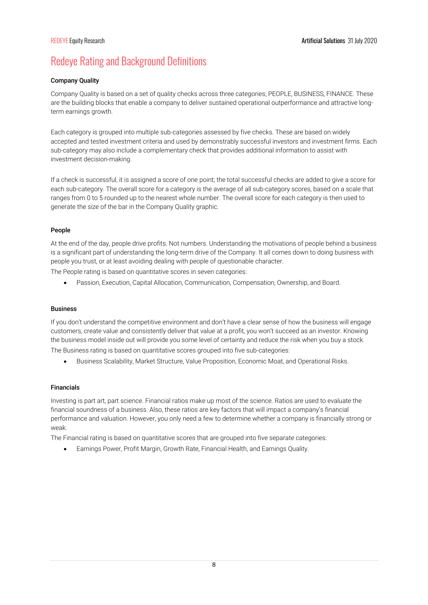# Redeye Rating and Background Definitions

### Company Quality

Company Quality is based on a set of quality checks across three categories; PEOPLE, BUSINESS, FINANCE. These are the building blocks that enable a company to deliver sustained operational outperformance and attractive longterm earnings growth.

Each category is grouped into multiple sub-categories assessed by five checks. These are based on widely accepted and tested investment criteria and used by demonstrably successful investors and investment firms. Each sub-category may also include a complementary check that provides additional information to assist with investment decision-making.

If a check is successful, it is assigned a score of one point; the total successful checks are added to give a score for each sub-category. The overall score for a category is the average of all sub-category scores, based on a scale that ranges from 0 to 5 rounded up to the nearest whole number. The overall score for each category is then used to generate the size of the bar in the Company Quality graphic.

### People

At the end of the day, people drive profits. Not numbers. Understanding the motivations of people behind a business is a significant part of understanding the long-term drive of the Company. It all comes down to doing business with people you trust, or at least avoiding dealing with people of questionable character.

The People rating is based on quantitative scores in seven categories:

Passion, Execution, Capital Allocation, Communication, Compensation, Ownership, and Board.

### Business

If you don't understand the competitive environment and don't have a clear sense of how the business will engage customers, create value and consistently deliver that value at a profit, you won't succeed as an investor. Knowing the business model inside out will provide you some level of certainty and reduce the risk when you buy a stock. The Business rating is based on quantitative scores grouped into five sub-categories:

Business Scalability, Market Structure, Value Proposition, Economic Moat, and Operational Risks.

### Financials

Investing is part art, part science. Financial ratios make up most of the science. Ratios are used to evaluate the financial soundness of a business. Also, these ratios are key factors that will impact a company's financial performance and valuation. However, you only need a few to determine whether a company is financially strong or weak.

The Financial rating is based on quantitative scores that are grouped into five separate categories:

Earnings Power, Profit Margin, Growth Rate, Financial Health, and Earnings Quality.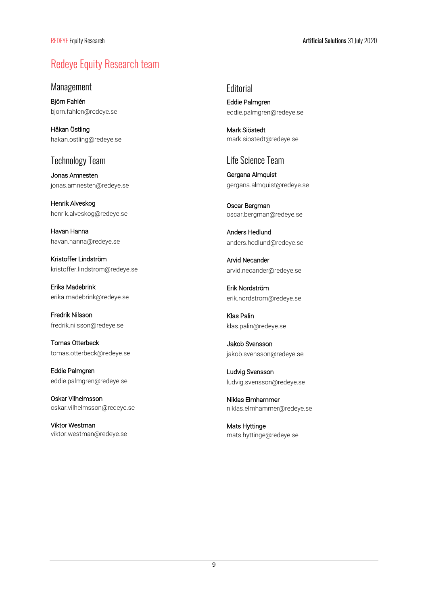# Redeye Equity Research team

Management

Björn Fahlén bjorn.fahlen@redeye.se

Håkan Östling hakan.ostling@redeye.se

## Technology Team

Jonas Amnesten jonas.amnesten@redeye.se

Henrik Alveskog henrik.alveskog@redeye.se

Havan Hanna havan.hanna@redeye.se

Kristoffer Lindström kristoffer.lindstrom@redeye.se

Erika Madebrink erika.madebrink@redeye.se

Fredrik Nilsson fredrik.nilsson@redeye.se

Tomas Otterbeck tomas.otterbeck@redeye.se

Eddie Palmgren eddie.palmgren@redeye.se

Oskar Vilhelmsson oskar.vilhelmsson@redeye.se

Viktor Westman viktor.westman@redeye.se **Editorial** Eddie Palmgren eddie.palmgren@redeye.se

Mark Siöstedt mark.siostedt@redeye.se

# Life Science Team

Gergana Almquist gergana.almquist@redeye.se

Oscar Bergman oscar.bergman@redeye.se

Anders Hedlund anders.hedlund@redeye.se

Arvid Necander arvid.necander@redeye.se

Erik Nordström erik.nordstrom@redeye.se

Klas Palin klas.palin@redeye.se

Jakob Svensson jakob.svensson@redeye.se

Ludvig Svensson ludvig.svensson@redeye.se

Niklas Elmhammer niklas.elmhammer@redeye.se

Mats Hyttinge mats.hyttinge@redeye.se